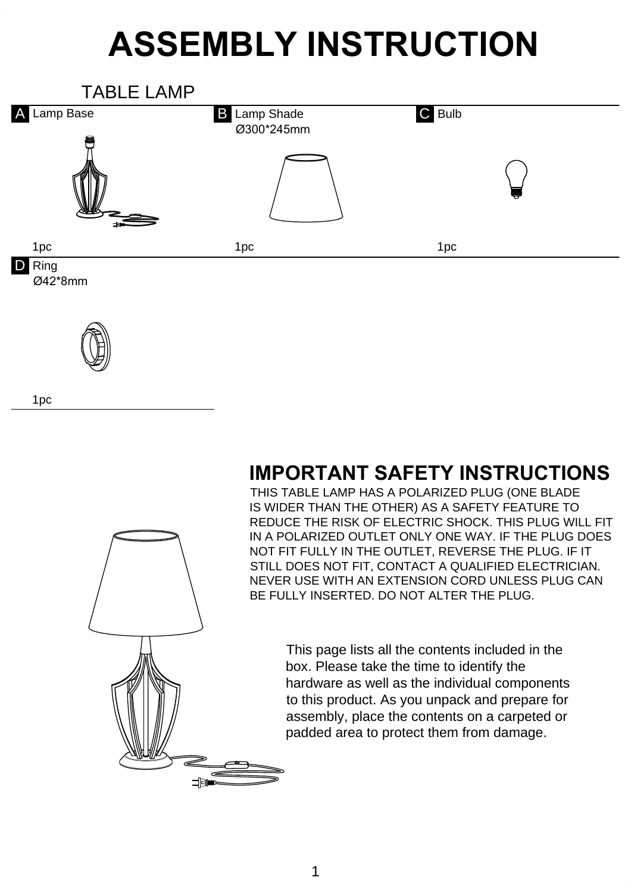## **ASSEMBLY INSTRUCTION**



## **IMPORTANT SAFETY INSTRUCTIONS**

THIS TABLE LAMP HAS A POLARIZED PLUG (ONE BLADE IS WIDER THAN THE OTHER) AS A SAFETY FEATURE TO REDUCE THE RISK OF ELECTRIC SHOCK. THIS PLUG WILL FIT IN A POLARIZED OUTLET ONLY ONE WAY. IF THE PLUG DOES NOT FIT FULLY IN THE OUTLET, REVERSE THE PLUG. IF IT STILL DOES NOT FIT, CONTACT A QUALIFIED ELECTRICIAN. NEVER USE WITH AN EXTENSION CORD UNLESS PLUG CAN BE FULLY INSERTED. DO NOT ALTER THE PLUG.

> This page lists all the contents included in the box. Please take the time to identify the hardware as well as the individual components to this product. As you unpack and prepare for assembly, place the contents on a carpeted or padded area to protect them from damage.



1pc